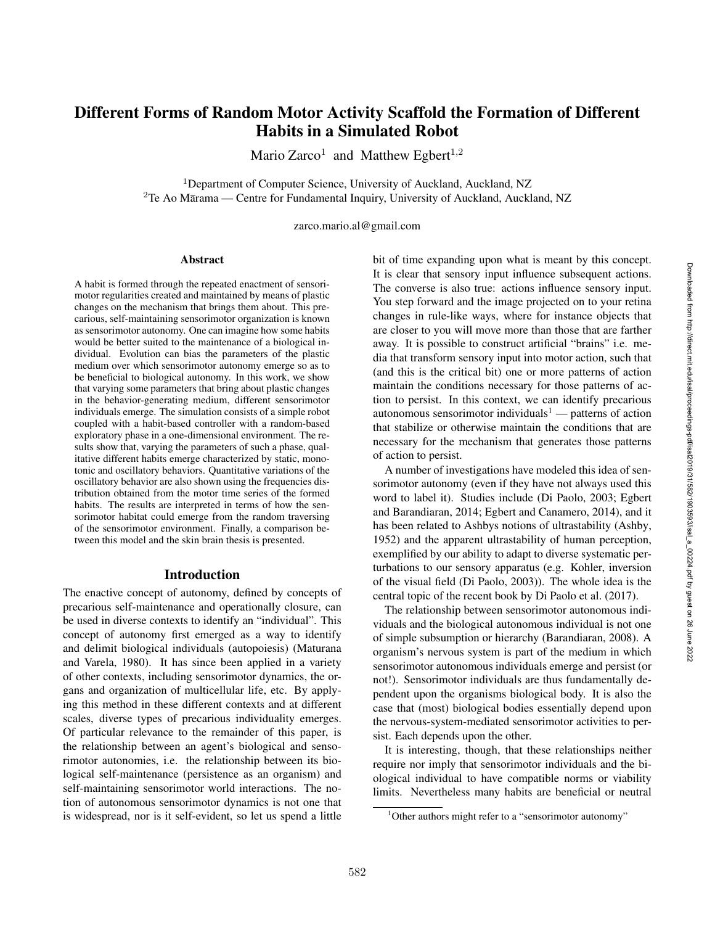# Different Forms of Random Motor Activity Scaffold the Formation of Different Habits in a Simulated Robot

Mario Zarco<sup>1</sup> and Matthew Egbert<sup>1,2</sup>

<sup>1</sup>Department of Computer Science, University of Auckland, Auckland, NZ <sup>2</sup>Te Ao Marama — Centre for Fundamental Inquiry, University of Auckland, Auckland, NZ

zarco.mario.al@gmail.com

#### Abstract

A habit is formed through the repeated enactment of sensorimotor regularities created and maintained by means of plastic changes on the mechanism that brings them about. This precarious, self-maintaining sensorimotor organization is known as sensorimotor autonomy. One can imagine how some habits would be better suited to the maintenance of a biological individual. Evolution can bias the parameters of the plastic medium over which sensorimotor autonomy emerge so as to be beneficial to biological autonomy. In this work, we show that varying some parameters that bring about plastic changes in the behavior-generating medium, different sensorimotor individuals emerge. The simulation consists of a simple robot coupled with a habit-based controller with a random-based exploratory phase in a one-dimensional environment. The results show that, varying the parameters of such a phase, qualitative different habits emerge characterized by static, monotonic and oscillatory behaviors. Quantitative variations of the oscillatory behavior are also shown using the frequencies distribution obtained from the motor time series of the formed habits. The results are interpreted in terms of how the sensorimotor habitat could emerge from the random traversing of the sensorimotor environment. Finally, a comparison between this model and the skin brain thesis is presented.

#### Introduction

The enactive concept of autonomy, defined by concepts of precarious self-maintenance and operationally closure, can be used in diverse contexts to identify an "individual". This concept of autonomy first emerged as a way to identify and delimit biological individuals (autopoiesis) (Maturana and Varela, 1980). It has since been applied in a variety of other contexts, including sensorimotor dynamics, the organs and organization of multicellular life, etc. By applying this method in these different contexts and at different scales, diverse types of precarious individuality emerges. Of particular relevance to the remainder of this paper, is the relationship between an agent's biological and sensorimotor autonomies, i.e. the relationship between its biological self-maintenance (persistence as an organism) and self-maintaining sensorimotor world interactions. The notion of autonomous sensorimotor dynamics is not one that is widespread, nor is it self-evident, so let us spend a little

bit of time expanding upon what is meant by this concept. It is clear that sensory input influence subsequent actions. The converse is also true: actions influence sensory input. You step forward and the image projected on to your retina changes in rule-like ways, where for instance objects that are closer to you will move more than those that are farther away. It is possible to construct artificial "brains" i.e. media that transform sensory input into motor action, such that (and this is the critical bit) one or more patterns of action maintain the conditions necessary for those patterns of action to persist. In this context, we can identify precarious autonomous sensorimotor individuals<sup>1</sup> — patterns of action that stabilize or otherwise maintain the conditions that are necessary for the mechanism that generates those patterns of action to persist.

A number of investigations have modeled this idea of sensorimotor autonomy (even if they have not always used this word to label it). Studies include (Di Paolo, 2003; Egbert and Barandiaran, 2014; Egbert and Canamero, 2014), and it has been related to Ashbys notions of ultrastability (Ashby, 1952) and the apparent ultrastability of human perception, exemplified by our ability to adapt to diverse systematic perturbations to our sensory apparatus (e.g. Kohler, inversion of the visual field (Di Paolo, 2003)). The whole idea is the central topic of the recent book by Di Paolo et al. (2017).

The relationship between sensorimotor autonomous individuals and the biological autonomous individual is not one of simple subsumption or hierarchy (Barandiaran, 2008). A organism's nervous system is part of the medium in which sensorimotor autonomous individuals emerge and persist (or not!). Sensorimotor individuals are thus fundamentally dependent upon the organisms biological body. It is also the case that (most) biological bodies essentially depend upon the nervous-system-mediated sensorimotor activities to persist. Each depends upon the other.

It is interesting, though, that these relationships neither require nor imply that sensorimotor individuals and the biological individual to have compatible norms or viability limits. Nevertheless many habits are beneficial or neutral

<sup>&</sup>lt;sup>1</sup>Other authors might refer to a "sensorimotor autonomy"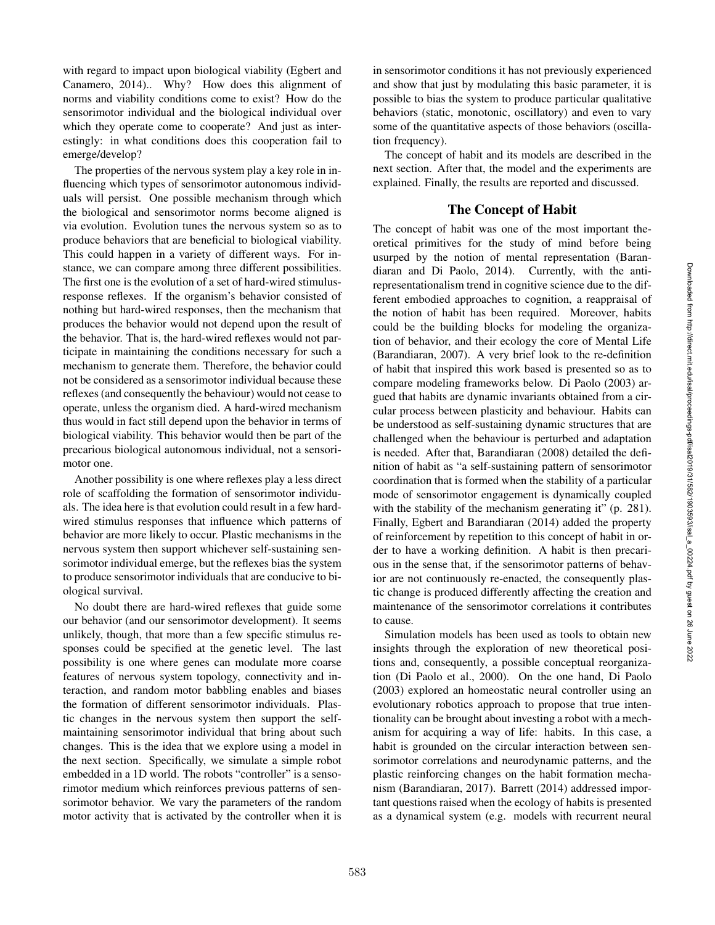with regard to impact upon biological viability (Egbert and Canamero, 2014).. Why? How does this alignment of norms and viability conditions come to exist? How do the sensorimotor individual and the biological individual over which they operate come to cooperate? And just as interestingly: in what conditions does this cooperation fail to emerge/develop?

The properties of the nervous system play a key role in influencing which types of sensorimotor autonomous individuals will persist. One possible mechanism through which the biological and sensorimotor norms become aligned is via evolution. Evolution tunes the nervous system so as to produce behaviors that are beneficial to biological viability. This could happen in a variety of different ways. For instance, we can compare among three different possibilities. The first one is the evolution of a set of hard-wired stimulusresponse reflexes. If the organism's behavior consisted of nothing but hard-wired responses, then the mechanism that produces the behavior would not depend upon the result of the behavior. That is, the hard-wired reflexes would not participate in maintaining the conditions necessary for such a mechanism to generate them. Therefore, the behavior could not be considered as a sensorimotor individual because these reflexes (and consequently the behaviour) would not cease to operate, unless the organism died. A hard-wired mechanism thus would in fact still depend upon the behavior in terms of biological viability. This behavior would then be part of the precarious biological autonomous individual, not a sensorimotor one.

Another possibility is one where reflexes play a less direct role of scaffolding the formation of sensorimotor individuals. The idea here is that evolution could result in a few hardwired stimulus responses that influence which patterns of behavior are more likely to occur. Plastic mechanisms in the nervous system then support whichever self-sustaining sensorimotor individual emerge, but the reflexes bias the system to produce sensorimotor individuals that are conducive to biological survival.

No doubt there are hard-wired reflexes that guide some our behavior (and our sensorimotor development). It seems unlikely, though, that more than a few specific stimulus responses could be specified at the genetic level. The last possibility is one where genes can modulate more coarse features of nervous system topology, connectivity and interaction, and random motor babbling enables and biases the formation of different sensorimotor individuals. Plastic changes in the nervous system then support the selfmaintaining sensorimotor individual that bring about such changes. This is the idea that we explore using a model in the next section. Specifically, we simulate a simple robot embedded in a 1D world. The robots "controller" is a sensorimotor medium which reinforces previous patterns of sensorimotor behavior. We vary the parameters of the random motor activity that is activated by the controller when it is

in sensorimotor conditions it has not previously experienced and show that just by modulating this basic parameter, it is possible to bias the system to produce particular qualitative behaviors (static, monotonic, oscillatory) and even to vary some of the quantitative aspects of those behaviors (oscillation frequency).

The concept of habit and its models are described in the next section. After that, the model and the experiments are explained. Finally, the results are reported and discussed.

### The Concept of Habit

The concept of habit was one of the most important theoretical primitives for the study of mind before being usurped by the notion of mental representation (Barandiaran and Di Paolo, 2014). Currently, with the antirepresentationalism trend in cognitive science due to the different embodied approaches to cognition, a reappraisal of the notion of habit has been required. Moreover, habits could be the building blocks for modeling the organization of behavior, and their ecology the core of Mental Life (Barandiaran, 2007). A very brief look to the re-definition of habit that inspired this work based is presented so as to compare modeling frameworks below. Di Paolo (2003) argued that habits are dynamic invariants obtained from a circular process between plasticity and behaviour. Habits can be understood as self-sustaining dynamic structures that are challenged when the behaviour is perturbed and adaptation is needed. After that, Barandiaran (2008) detailed the definition of habit as "a self-sustaining pattern of sensorimotor coordination that is formed when the stability of a particular mode of sensorimotor engagement is dynamically coupled with the stability of the mechanism generating it" (p. 281). Finally, Egbert and Barandiaran (2014) added the property of reinforcement by repetition to this concept of habit in order to have a working definition. A habit is then precarious in the sense that, if the sensorimotor patterns of behavior are not continuously re-enacted, the consequently plastic change is produced differently affecting the creation and maintenance of the sensorimotor correlations it contributes to cause.

Simulation models has been used as tools to obtain new insights through the exploration of new theoretical positions and, consequently, a possible conceptual reorganization (Di Paolo et al., 2000). On the one hand, Di Paolo (2003) explored an homeostatic neural controller using an evolutionary robotics approach to propose that true intentionality can be brought about investing a robot with a mechanism for acquiring a way of life: habits. In this case, a habit is grounded on the circular interaction between sensorimotor correlations and neurodynamic patterns, and the plastic reinforcing changes on the habit formation mechanism (Barandiaran, 2017). Barrett (2014) addressed important questions raised when the ecology of habits is presented as a dynamical system (e.g. models with recurrent neural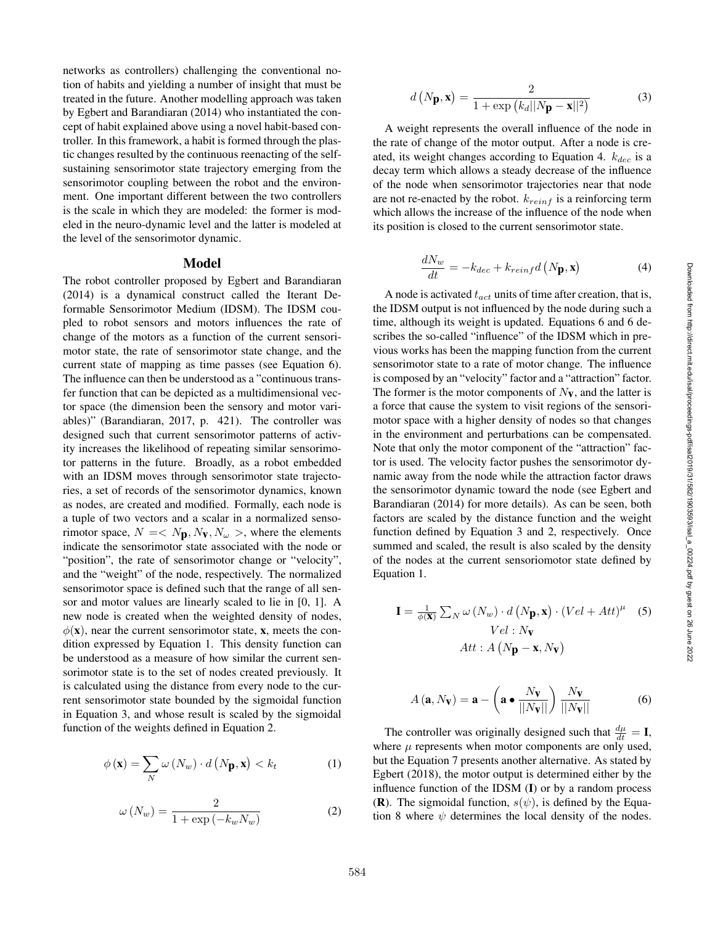networks as controllers) challenging the conventional notion of habits and yielding a number of insight that must be treated in the future. Another modelling approach was taken by Egbert and Barandiaran (2014) who instantiated the concept of habit explained above using a novel habit-based controller. In this framework, a habit is formed through the plastic changes resulted by the continuous reenacting of the selfsustaining sensorimotor state trajectory emerging from the sensorimotor coupling between the robot and the environment. One important different between the two controllers is the scale in which they are modeled: the former is modeled in the neuro-dynamic level and the latter is modeled at the level of the sensorimotor dynamic.

#### Model

The robot controller proposed by Egbert and Barandiaran (2014) is a dynamical construct called the Iterant Deformable Sensorimotor Medium (IDSM). The IDSM coupled to robot sensors and motors influences the rate of change of the motors as a function of the current sensorimotor state, the rate of sensorimotor state change, and the current state of mapping as time passes (see Equation 6). The influence can then be understood as a "continuous transfer function that can be depicted as a multidimensional vector space (the dimension been the sensory and motor variables)" (Barandiaran, 2017, p. 421). The controller was designed such that current sensorimotor patterns of activity increases the likelihood of repeating similar sensorimotor patterns in the future. Broadly, as a robot embedded with an IDSM moves through sensorimotor state trajectories, a set of records of the sensorimotor dynamics, known as nodes, are created and modified. Formally, each node is a tuple of two vectors and a scalar in a normalized sensorimotor space,  $N = \langle N_{\mathbf{p}}, N_{\mathbf{v}}, N_{\omega} \rangle$ , where the elements indicate the sensorimotor state associated with the node or "position", the rate of sensorimotor change or "velocity", and the "weight" of the node, respectively. The normalized sensorimotor space is defined such that the range of all sensor and motor values are linearly scaled to lie in [0, 1]. A new node is created when the weighted density of nodes,  $\phi(\mathbf{x})$ , near the current sensorimotor state, **x**, meets the condition expressed by Equation 1. This density function can be understood as a measure of how similar the current sensorimotor state is to the set of nodes created previously. It is calculated using the distance from every node to the current sensorimotor state bounded by the sigmoidal function in Equation 3, and whose result is scaled by the sigmoidal function of the weights defined in Equation 2.

$$
\phi(\mathbf{x}) = \sum_{N} \omega(N_w) \cdot d\left(N_p, \mathbf{x}\right) < k_t \tag{1}
$$

$$
\omega\left(N_w\right) = \frac{2}{1 + \exp\left(-k_w N_w\right)}\tag{2}
$$

$$
d\left(N\mathbf{p}, \mathbf{x}\right) = \frac{2}{1 + \exp\left(k_d ||N\mathbf{p} - \mathbf{x}||^2\right)}\tag{3}
$$

A weight represents the overall influence of the node in the rate of change of the motor output. After a node is created, its weight changes according to Equation 4.  $k_{dec}$  is a decay term which allows a steady decrease of the influence of the node when sensorimotor trajectories near that node are not re-enacted by the robot.  $k_{reinf}$  is a reinforcing term which allows the increase of the influence of the node when its position is closed to the current sensorimotor state.

$$
\frac{dN_w}{dt} = -k_{dec} + k_{reinf}d\left(N_{\mathbf{p}}, \mathbf{x}\right)
$$
\n(4)

A node is activated  $t_{act}$  units of time after creation, that is, the IDSM output is not influenced by the node during such a time, although its weight is updated. Equations 6 and 6 describes the so-called "influence" of the IDSM which in previous works has been the mapping function from the current sensorimotor state to a rate of motor change. The influence is composed by an "velocity" factor and a "attraction" factor. The former is the motor components of  $N_{\mathbf{V}}$ , and the latter is a force that cause the system to visit regions of the sensorimotor space with a higher density of nodes so that changes in the environment and perturbations can be compensated. Note that only the motor component of the "attraction" factor is used. The velocity factor pushes the sensorimotor dynamic away from the node while the attraction factor draws the sensorimotor dynamic toward the node (see Egbert and Barandiaran (2014) for more details). As can be seen, both factors are scaled by the distance function and the weight function defined by Equation 3 and 2, respectively. Once summed and scaled, the result is also scaled by the density of the nodes at the current sensoriomotor state defined by Equation 1.

$$
\mathbf{I} = \frac{1}{\phi(\mathbf{X})} \sum_{N} \omega (N_w) \cdot d (N_{\mathbf{p}}, \mathbf{x}) \cdot (Vel + Att)^{\mu} \quad (5)
$$
  
 
$$
Vel : N_{\mathbf{V}}
$$
  
 
$$
Att : A (N_{\mathbf{p}} - \mathbf{x}, N_{\mathbf{V}})
$$

$$
A(\mathbf{a}, N_{\mathbf{V}}) = \mathbf{a} - \left(\mathbf{a} \bullet \frac{N_{\mathbf{V}}}{||N_{\mathbf{V}}||}\right) \frac{N_{\mathbf{V}}}{||N_{\mathbf{V}}||}
$$
(6)

The controller was originally designed such that  $\frac{d\mu}{dt} = I$ , where  $\mu$  represents when motor components are only used, but the Equation 7 presents another alternative. As stated by Egbert (2018), the motor output is determined either by the influence function of the IDSM ( I) or by a random process (**R**). The sigmoidal function,  $s(\psi)$ , is defined by the Equation 8 where  $\psi$  determines the local density of the nodes.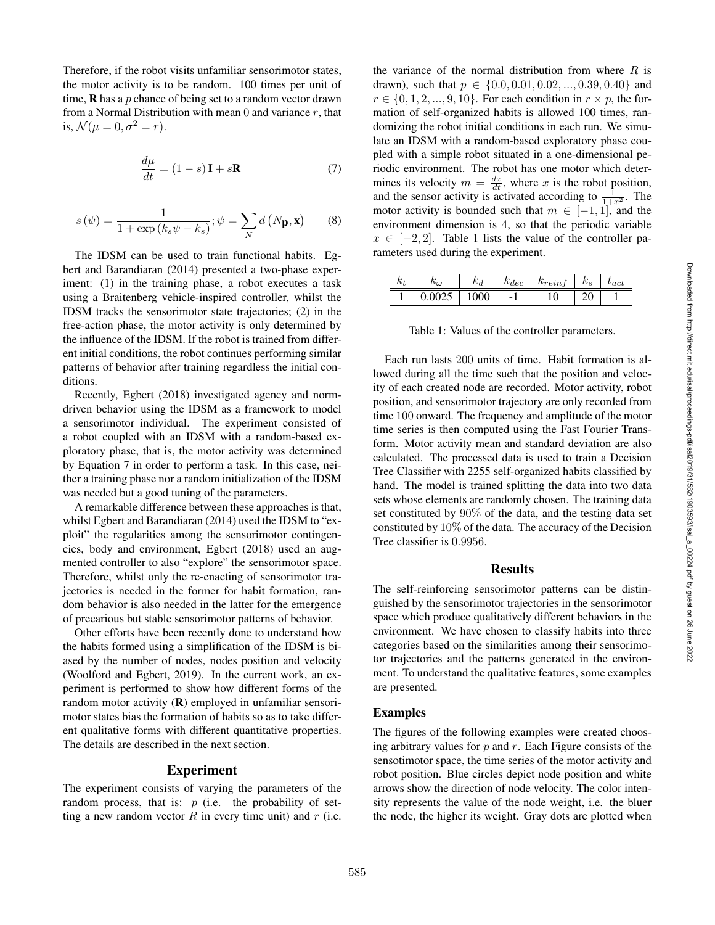Therefore, if the robot visits unfamiliar sensorimotor states, the motor activity is to be random. 100 times per unit of time,  $\bf{R}$  has a p chance of being set to a random vector drawn from a Normal Distribution with mean  $0$  and variance  $r$ , that is,  $\mathcal{N}(\mu=0, \sigma^2=r)$ .

$$
\frac{d\mu}{dt} = (1 - s)\mathbf{I} + s\mathbf{R} \tag{7}
$$

$$
s(\psi) = \frac{1}{1 + \exp\left(k_s \psi - k_s\right)}; \psi = \sum_N d\left(N_p, \mathbf{x}\right) \tag{8}
$$

The IDSM can be used to train functional habits. Egbert and Barandiaran (2014) presented a two-phase experiment: (1) in the training phase, a robot executes a task using a Braitenberg vehicle-inspired controller, whilst the IDSM tracks the sensorimotor state trajectories; (2) in the free-action phase, the motor activity is only determined by the influence of the IDSM. If the robot is trained from different initial conditions, the robot continues performing similar patterns of behavior after training regardless the initial conditions.

Recently, Egbert (2018) investigated agency and normdriven behavior using the IDSM as a framework to model a sensorimotor individual. The experiment consisted of a robot coupled with an IDSM with a random-based exploratory phase, that is, the motor activity was determined by Equation 7 in order to perform a task. In this case, neither a training phase nor a random initialization of the IDSM was needed but a good tuning of the parameters.

A remarkable difference between these approaches is that, whilst Egbert and Barandiaran (2014) used the IDSM to "exploit" the regularities among the sensorimotor contingencies, body and environment, Egbert (2018) used an augmented controller to also "explore" the sensorimotor space. Therefore, whilst only the re-enacting of sensorimotor trajectories is needed in the former for habit formation, random behavior is also needed in the latter for the emergence of precarious but stable sensorimotor patterns of behavior.

Other efforts have been recently done to understand how the habits formed using a simplification of the IDSM is biased by the number of nodes, nodes position and velocity (Woolford and Egbert, 2019). In the current work, an experiment is performed to show how different forms of the random motor activity (**R**) employed in unfamiliar sensorimotor states bias the formation of habits so as to take different qualitative forms with different quantitative properties. The details are described in the next section.

### Experiment

The experiment consists of varying the parameters of the random process, that is:  $p$  (i.e. the probability of setting a new random vector  $R$  in every time unit) and  $r$  (i.e.

the variance of the normal distribution from where  $R$  is drawn), such that  $p \in \{0.0, 0.01, 0.02, ..., 0.39, 0.40\}$  and  $r \in \{0, 1, 2, \ldots, 9, 10\}$ . For each condition in  $r \times p$ , the formation of self-organized habits is allowed 100 times, randomizing the robot initial conditions in each run. We simulate an IDSM with a random-based exploratory phase coupled with a simple robot situated in a one-dimensional periodic environment. The robot has one motor which determines its velocity  $m = \frac{dx}{dt}$ , where x is the robot position, and the sensor activity is activated according to  $\frac{1}{1+x^2}$ . The motor activity is bounded such that  $m \in [-1,1]$ , and the environment dimension is 4, so that the periodic variable  $x \in [-2, 2]$ . Table 1 lists the value of the controller parameters used during the experiment.

| $\cdot$ | $n_{\omega}$ | l A<br>$n_d$ | $_{ndec}$ | $n_{rein_J}$ | IA.<br>$\mathbf{r}_s$ | $_{\iota act}$ |
|---------|--------------|--------------|-----------|--------------|-----------------------|----------------|
|         |              | በበበ<br>vvv   | -         | ⊥ ∪          |                       |                |

Table 1: Values of the controller parameters.

Each run lasts 200 units of time. Habit formation is allowed during all the time such that the position and velocity of each created node are recorded. Motor activity, robot position, and sensorimotor trajectory are only recorded from time 100 onward. The frequency and amplitude of the motor time series is then computed using the Fast Fourier Transform. Motor activity mean and standard deviation are also calculated. The processed data is used to train a Decision Tree Classifier with 2255 self-organized habits classified by hand. The model is trained splitting the data into two data sets whose elements are randomly chosen. The training data set constituted by 90% of the data, and the testing data set constituted by 10% of the data. The accuracy of the Decision Tree classifier is 0 .9956 .

### Results

The self-reinforcing sensorimotor patterns can be distinguished by the sensorimotor trajectories in the sensorimotor space which produce qualitatively different behaviors in the environment. We have chosen to classify habits into three categories based on the similarities among their sensorimotor trajectories and the patterns generated in the environment. To understand the qualitative features, some examples are presented.

#### Examples

The figures of the following examples were created choosing arbitrary values for  $p$  and  $r$ . Each Figure consists of the sensotimotor space, the time series of the motor activity and robot position. Blue circles depict node position and white arrows show the direction of node velocity. The color intensity represents the value of the node weight, i.e. the bluer the node, the higher its weight. Gray dots are plotted when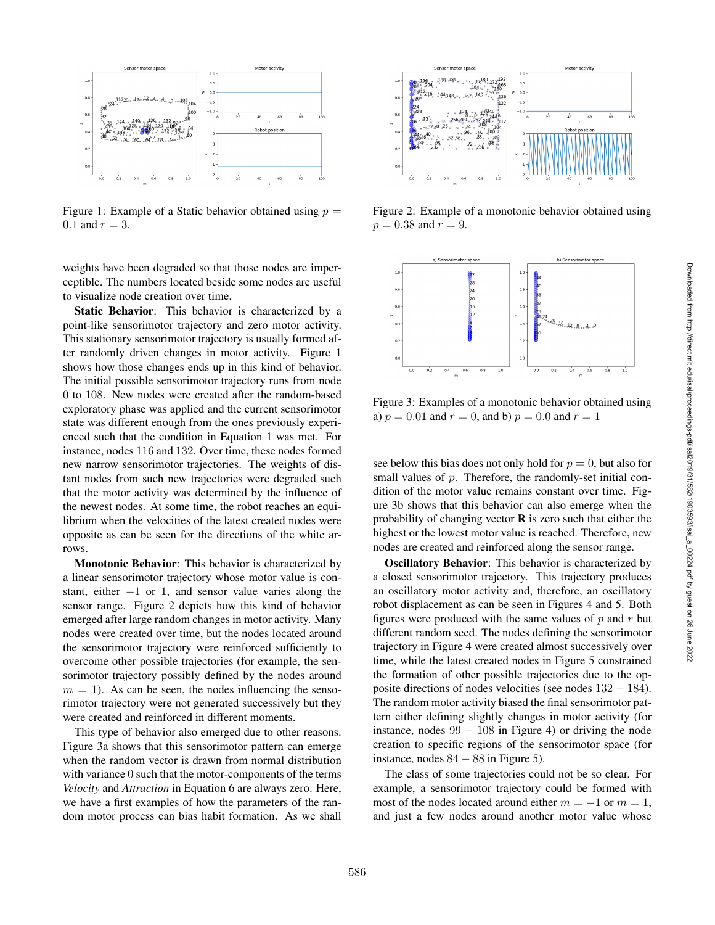

Figure 1: Example of a Static behavior obtained using  $p =$  $0.1$  and  $r = 3$ .

weights have been degraded so that those nodes are imperceptible. The numbers located beside some nodes are useful to visualize node creation over time.

Static Behavior: This behavior is characterized by a point-like sensorimotor trajectory and zero motor activity. This stationary sensorimotor trajectory is usually formed after randomly driven changes in motor activity. Figure 1 shows how those changes ends up in this kind of behavior. The initial possible sensorimotor trajectory runs from node 0 to 108. New nodes were created after the random-based exploratory phase was applied and the current sensorimotor state was different enough from the ones previously experienced such that the condition in Equation 1 was met. For instance, nodes 116 and 132. Over time, these nodes formed new narrow sensorimotor trajectories. The weights of distant nodes from such new trajectories were degraded such that the motor activity was determined by the influence of the newest nodes. At some time, the robot reaches an equilibrium when the velocities of the latest created nodes were opposite as can be seen for the directions of the white arrows.

Monotonic Behavior: This behavior is characterized by a linear sensorimotor trajectory whose motor value is constant, either  $-1$  or 1, and sensor value varies along the sensor range. Figure 2 depicts how this kind of behavior emerged after large random changes in motor activity. Many nodes were created over time, but the nodes located around the sensorimotor trajectory were reinforced sufficiently to overcome other possible trajectories (for example, the sensorimotor trajectory possibly defined by the nodes around  $m = 1$ ). As can be seen, the nodes influencing the sensorimotor trajectory were not generated successively but they were created and reinforced in different moments.

This type of behavior also emerged due to other reasons. Figure 3a shows that this sensorimotor pattern can emerge when the random vector is drawn from normal distribution with variance 0 such that the motor-components of the terms *Velocity* and *Attraction* in Equation 6 are always zero. Here, we have a first examples of how the parameters of the random motor process can bias habit formation. As we shall



Figure 2: Example of a monotonic behavior obtained using  $p = 0.38$  and  $r = 9$ .



Figure 3: Examples of a monotonic behavior obtained using a)  $p = 0.01$  and  $r = 0$ , and b)  $p = 0.0$  and  $r = 1$ 

see below this bias does not only hold for  $p = 0$ , but also for small values of p. Therefore, the randomly-set initial condition of the motor value remains constant over time. Figure 3b shows that this behavior can also emerge when the probability of changing vector  **is zero such that either the** highest or the lowest motor value is reached. Therefore, new nodes are created and reinforced along the sensor range.

Oscillatory Behavior: This behavior is characterized by a closed sensorimotor trajectory. This trajectory produces an oscillatory motor activity and, therefore, an oscillatory robot displacement as can be seen in Figures 4 and 5. Both figures were produced with the same values of  $p$  and  $r$  but different random seed. The nodes defining the sensorimotor trajectory in Figure 4 were created almost successively over time, while the latest created nodes in Figure 5 constrained the formation of other possible trajectories due to the opposite directions of nodes velocities (see nodes 132 − 184). The random motor activity biased the final sensorimotor pattern either defining slightly changes in motor activity (for instance, nodes  $99 - 108$  in Figure 4) or driving the node creation to specific regions of the sensorimotor space (for instance, nodes  $84 - 88$  in Figure 5).

The class of some trajectories could not be so clear. For example, a sensorimotor trajectory could be formed with most of the nodes located around either  $m = -1$  or  $m = 1$ , and just a few nodes around another motor value whose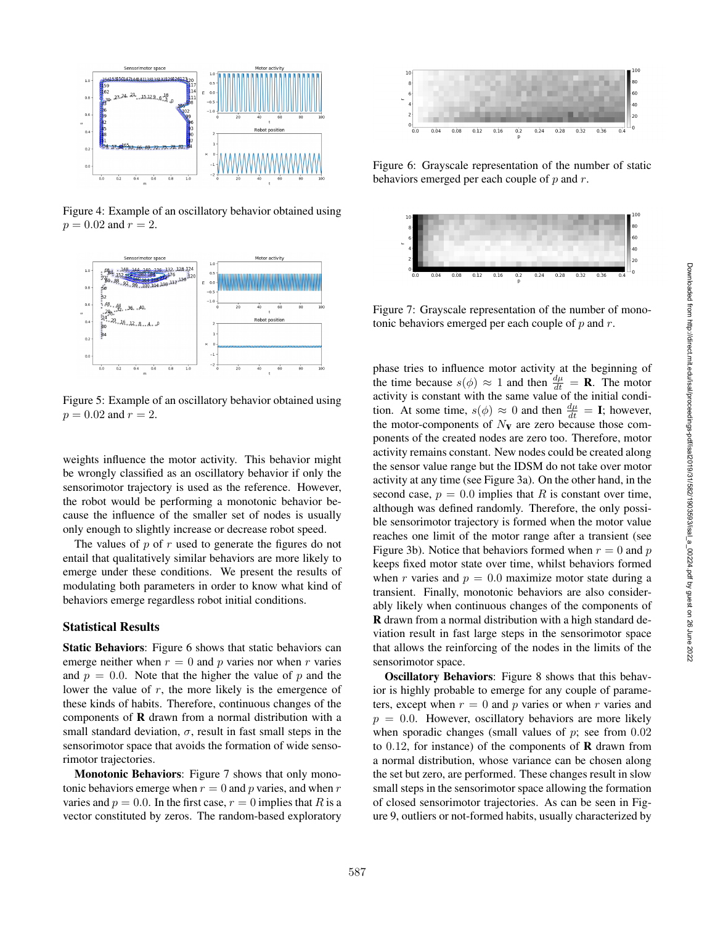

Figure 4: Example of an oscillatory behavior obtained using  $p = 0.02$  and  $r = 2$ .



Figure 5: Example of an oscillatory behavior obtained using  $p = 0.02$  and  $r = 2$ .

weights influence the motor activity. This behavior might be wrongly classified as an oscillatory behavior if only the sensorimotor trajectory is used as the reference. However, the robot would be performing a monotonic behavior because the influence of the smaller set of nodes is usually only enough to slightly increase or decrease robot speed.

The values of  $p$  of  $r$  used to generate the figures do not entail that qualitatively similar behaviors are more likely to emerge under these conditions. We present the results of modulating both parameters in order to know what kind of behaviors emerge regardless robot initial conditions.

## Statistical Results

Static Behaviors: Figure 6 shows that static behaviors can emerge neither when  $r = 0$  and p varies nor when r varies and  $p = 0.0$ . Note that the higher the value of p and the lower the value of  $r$ , the more likely is the emergence of these kinds of habits. Therefore, continuous changes of the components of R drawn from a normal distribution with a small standard deviation,  $\sigma$ , result in fast small steps in the sensorimotor space that avoids the formation of wide sensorimotor trajectories.

Monotonic Behaviors: Figure 7 shows that only monotonic behaviors emerge when  $r = 0$  and p varies, and when r varies and  $p = 0.0$ . In the first case,  $r = 0$  implies that R is a vector constituted by zeros. The random-based exploratory



Figure 6: Grayscale representation of the number of static behaviors emerged per each couple of  $p$  and  $r$ .



Figure 7: Grayscale representation of the number of monotonic behaviors emerged per each couple of  $p$  and  $r$ .

phase tries to influence motor activity at the beginning of the time because  $s(\phi) \approx 1$  and then  $\frac{d\mu}{dt} = \mathbf{R}$ . The motor activity is constant with the same value of the initial condition. At some time,  $s(\phi) \approx 0$  and then  $\frac{d\mu}{dt} = I$ ; however, the motor-components of  $N_{\mathbf{V}}$  are zero because those components of the created nodes are zero too. Therefore, motor activity remains constant. New nodes could be created along the sensor value range but the IDSM do not take over motor activity at any time (see Figure 3a). On the other hand, in the second case,  $p = 0.0$  implies that R is constant over time, although was defined randomly. Therefore, the only possible sensorimotor trajectory is formed when the motor value reaches one limit of the motor range after a transient (see Figure 3b). Notice that behaviors formed when  $r = 0$  and  $p$ keeps fixed motor state over time, whilst behaviors formed when r varies and  $p = 0.0$  maximize motor state during a transient. Finally, monotonic behaviors are also considerably likely when continuous changes of the components of R drawn from a normal distribution with a high standard deviation result in fast large steps in the sensorimotor space that allows the reinforcing of the nodes in the limits of the sensorimotor space.

Oscillatory Behaviors: Figure 8 shows that this behavior is highly probable to emerge for any couple of parameters, except when  $r = 0$  and p varies or when r varies and  $p = 0.0$ . However, oscillatory behaviors are more likely when sporadic changes (small values of  $p$ ; see from  $0.02$ to  $0.12$ , for instance) of the components of **R** drawn from a normal distribution, whose variance can be chosen along the set but zero, are performed. These changes result in slow small steps in the sensorimotor space allowing the formation of closed sensorimotor trajectories. As can be seen in Figure 9, outliers or not-formed habits, usually characterized by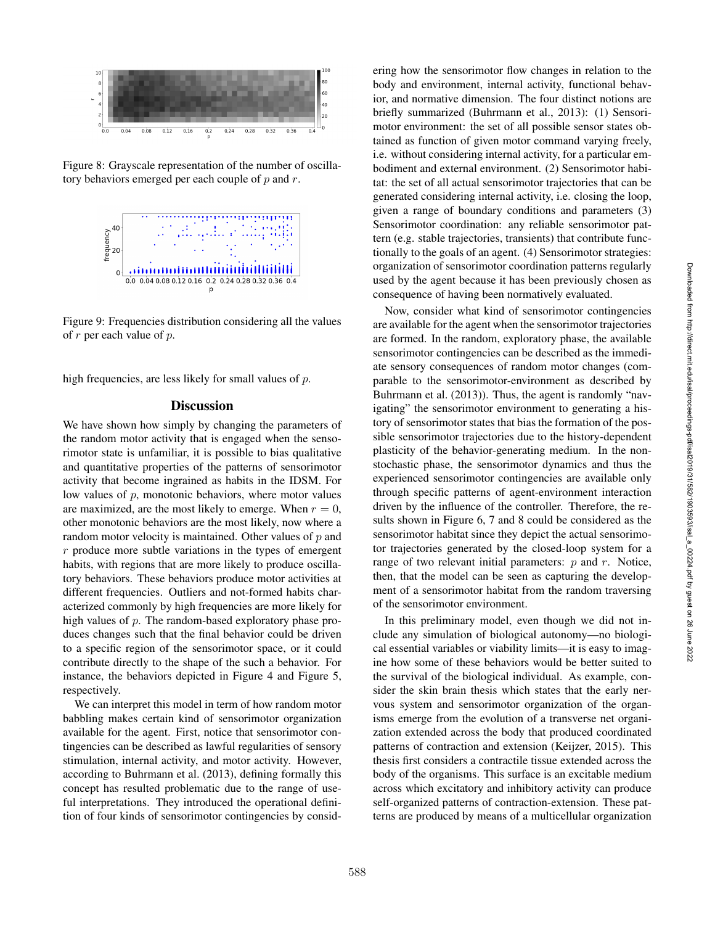

Figure 8: Grayscale representation of the number of oscillatory behaviors emerged per each couple of  $p$  and  $r$ .



Figure 9: Frequencies distribution considering all the values of  $r$  per each value of  $p$ .

high frequencies, are less likely for small values of  $p$ .

# **Discussion**

We have shown how simply by changing the parameters of the random motor activity that is engaged when the sensorimotor state is unfamiliar, it is possible to bias qualitative and quantitative properties of the patterns of sensorimotor activity that become ingrained as habits in the IDSM. For low values of  $p$ , monotonic behaviors, where motor values are maximized, are the most likely to emerge. When  $r = 0$ , other monotonic behaviors are the most likely, now where a random motor velocity is maintained. Other values of  $p$  and  $r$  produce more subtle variations in the types of emergent habits, with regions that are more likely to produce oscillatory behaviors. These behaviors produce motor activities at different frequencies. Outliers and not-formed habits characterized commonly by high frequencies are more likely for high values of p. The random-based exploratory phase produces changes such that the final behavior could be driven to a specific region of the sensorimotor space, or it could contribute directly to the shape of the such a behavior. For instance, the behaviors depicted in Figure 4 and Figure 5, respectively.

We can interpret this model in term of how random motor babbling makes certain kind of sensorimotor organization available for the agent. First, notice that sensorimotor contingencies can be described as lawful regularities of sensory stimulation, internal activity, and motor activity. However, according to Buhrmann et al. (2013), defining formally this concept has resulted problematic due to the range of useful interpretations. They introduced the operational definition of four kinds of sensorimotor contingencies by consid-

ering how the sensorimotor flow changes in relation to the body and environment, internal activity, functional behavior, and normative dimension. The four distinct notions are briefly summarized (Buhrmann et al., 2013): (1) Sensorimotor environment: the set of all possible sensor states obtained as function of given motor command varying freely, i.e. without considering internal activity, for a particular embodiment and external environment. (2) Sensorimotor habitat: the set of all actual sensorimotor trajectories that can be generated considering internal activity, i.e. closing the loop, given a range of boundary conditions and parameters (3) Sensorimotor coordination: any reliable sensorimotor pattern (e.g. stable trajectories, transients) that contribute functionally to the goals of an agent. (4) Sensorimotor strategies: organization of sensorimotor coordination patterns regularly used by the agent because it has been previously chosen as consequence of having been normatively evaluated.

Now, consider what kind of sensorimotor contingencies are available for the agent when the sensorimotor trajectories are formed. In the random, exploratory phase, the available sensorimotor contingencies can be described as the immediate sensory consequences of random motor changes (comparable to the sensorimotor-environment as described by Buhrmann et al. (2013)). Thus, the agent is randomly "navigating" the sensorimotor environment to generating a history of sensorimotor states that bias the formation of the possible sensorimotor trajectories due to the history-dependent plasticity of the behavior-generating medium. In the nonstochastic phase, the sensorimotor dynamics and thus the experienced sensorimotor contingencies are available only through specific patterns of agent-environment interaction driven by the influence of the controller. Therefore, the results shown in Figure 6, 7 and 8 could be considered as the sensorimotor habitat since they depict the actual sensorimotor trajectories generated by the closed-loop system for a range of two relevant initial parameters:  $p$  and  $r$ . Notice, then, that the model can be seen as capturing the development of a sensorimotor habitat from the random traversing of the sensorimotor environment.

In this preliminary model, even though we did not include any simulation of biological autonomy—no biological essential variables or viability limits—it is easy to imagine how some of these behaviors would be better suited to the survival of the biological individual. As example, consider the skin brain thesis which states that the early nervous system and sensorimotor organization of the organisms emerge from the evolution of a transverse net organization extended across the body that produced coordinated patterns of contraction and extension (Keijzer, 2015). This thesis first considers a contractile tissue extended across the body of the organisms. This surface is an excitable medium across which excitatory and inhibitory activity can produce self-organized patterns of contraction-extension. These patterns are produced by means of a multicellular organization